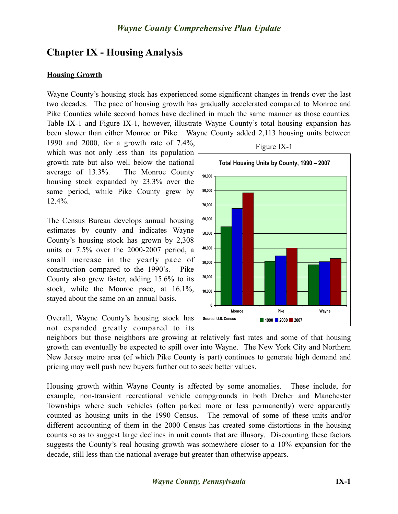# **Chapter IX - Housing Analysis**

### **Housing Growth**

Wayne County's housing stock has experienced some significant changes in trends over the last two decades. The pace of housing growth has gradually accelerated compared to Monroe and Pike Counties while second homes have declined in much the same manner as those counties. Table IX-1 and Figure IX-1, however, illustrate Wayne County's total housing expansion has been slower than either Monroe or Pike. Wayne County added 2,113 housing units between

1990 and 2000, for a growth rate of 7.4%, which was not only less than its population growth rate but also well below the national average of 13.3%. The Monroe County housing stock expanded by 23.3% over the same period, while Pike County grew by 12.4%.

The Census Bureau develops annual housing estimates by county and indicates Wayne County's housing stock has grown by 2,308 units or 7.5% over the 2000-2007 period, a small increase in the yearly pace of construction compared to the 1990's. Pike County also grew faster, adding 15.6% to its stock, while the Monroe pace, at 16.1%, stayed about the same on an annual basis.

Overall, Wayne County's housing stock has not expanded greatly compared to its



Figure IX-1

neighbors but those neighbors are growing at relatively fast rates and some of that housing growth can eventually be expected to spill over into Wayne. The New York City and Northern New Jersey metro area (of which Pike County is part) continues to generate high demand and pricing may well push new buyers further out to seek better values.

Housing growth within Wayne County is affected by some anomalies. These include, for example, non-transient recreational vehicle campgrounds in both Dreher and Manchester Townships where such vehicles (often parked more or less permanently) were apparently counted as housing units in the 1990 Census. The removal of some of these units and/or different accounting of them in the 2000 Census has created some distortions in the housing counts so as to suggest large declines in unit counts that are illusory. Discounting these factors suggests the County's real housing growth was somewhere closer to a 10% expansion for the decade, still less than the national average but greater than otherwise appears.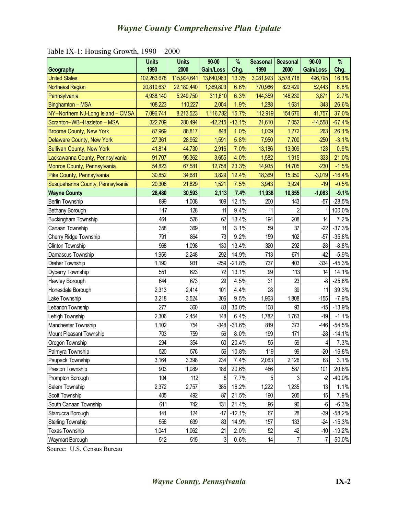|                                    | <b>Units</b> | <b>Units</b> | $90 - 00$  | %        | <b>Seasonal</b> | <b>Seasonal</b> | $90 - 00$ | $\%$      |
|------------------------------------|--------------|--------------|------------|----------|-----------------|-----------------|-----------|-----------|
| Geography                          | 1990         | 2000         | Gain/Loss  | Chg.     | 1990            | 2000            | Gain/Loss | Chg.      |
| <b>United States</b>               | 102,263,678  | 115,904,641  | 13,640,963 | 13.3%    | 3,081,923       | 3,578,718       | 496,795   | 16.1%     |
| <b>Northeast Region</b>            | 20,810,637   | 22,180,440   | 1,369,803  | 6.6%     | 770,986         | 823,429         | 52,443    | 6.8%      |
| Pennsylvania                       | 4,938,140    | 5,249,750    | 311,610    | 6.3%     | 144,359         | 148,230         | 3,871     | 2.7%      |
| Binghamton - MSA                   | 108,223      | 110,227      | 2,004      | 1.9%     | 1,288           | 1,631           | 343       | 26.6%     |
| NY--Northern NJ-Long Island - CMSA | 7,096,741    | 8,213,523    | 1,116,782  | 15.7%    | 112,919         | 154,676         | 41,757    | 37.0%     |
| Scranton--WB--Hazleton - MSA       | 322,709      | 280,494      | $-42,215$  | $-13.1%$ | 21,610          | 7,052           | $-14,558$ | $-67.4%$  |
| <b>Broome County, New York</b>     | 87,969       | 88,817       | 848        | 1.0%     | 1,009           | 1,272           | 263       | 26.1%     |
| Delaware County, New York          | 27,361       | 28,952       | 1,591      | 5.8%     | 7,950           | 7,700           | $-250$    | $-3.1%$   |
| <b>Sullivan County, New York</b>   | 41,814       | 44,730       | 2,916      | 7.0%     | 13,186          | 13,309          | 123       | 0.9%      |
| Lackawanna County, Pennsylvania    | 91,707       | 95,362       | 3,655      | 4.0%     | 1,582           | 1,915           | 333       | 21.0%     |
| Monroe County, Pennsylvania        | 54,823       | 67,581       | 12,758     | 23.3%    | 14,935          | 14,705          | $-230$    | $-1.5%$   |
| Pike County, Pennsylvania          | 30,852       | 34,681       | 3,829      | 12.4%    | 18,369          | 15,350          | $-3,019$  | $-16.4%$  |
| Susquehanna County, Pennsylvania   | 20,308       | 21,829       | 1,521      | 7.5%     | 3,943           | 3,924           | $-19$     | $-0.5%$   |
| <b>Wayne County</b>                | 28,480       | 30,593       | 2,113      | 7.4%     | 11,938          | 10,855          | $-1,083$  | $-9.1%$   |
| <b>Berlin Township</b>             | 899          | 1,008        | 109        | 12.1%    | 200             | 143             | $-57$     | $-28.5%$  |
| Bethany Borough                    | 117          | 128          | 11         | 9.4%     |                 | $\overline{2}$  | 1         | 100.0%    |
| <b>Buckingham Township</b>         | 464          | 526          | 62         | 13.4%    | 194             | 208             | 14        | 7.2%      |
| Canaan Township                    | 358          | 369          | 11         | 3.1%     | 59              | 37              | $-22$     | $-37.3%$  |
| Cherry Ridge Township              | 791          | 864          | 73         | 9.2%     | 159             | 102             | $-57$     | $-35.8%$  |
| <b>Clinton Township</b>            | 968          | 1,098        | 130        | 13.4%    | 320             | 292             | $-28$     | $-8.8%$   |
| Damascus Township                  | 1,956        | 2,248        | 292        | 14.9%    | 713             | 671             | $-42$     | $-5.9%$   |
| Dreher Township                    | 1,190        | 931          | $-259$     | $-21.8%$ | 737             | 403             | $-334$    | $-45.3%$  |
| Dyberry Township                   | 551          | 623          | 72         | 13.1%    | 99              | 113             | 14        | 14.1%     |
| Hawley Borough                     | 644          | 673          | 29         | 4.5%     | 31              | 23              | $\, 8$    | $-25.8%$  |
| Honesdale Borough                  | 2,313        | 2,414        | 101        | 4.4%     | 28              | 39              | 11        | 39.3%     |
| Lake Township                      | 3,218        | 3,524        | 306        | 9.5%     | 1,963           | 1,808           | $-155$    | $-7.9%$   |
| Lebanon Township                   | 277          | 360          | 83         | 30.0%    | 108             | 93              | $-15$     | $-13.9%$  |
| Lehigh Township                    | 2,306        | 2,454        | 148        | 6.4%     | 1,782           | 1,763           | $-19$     | $-1.1%$   |
| Manchester Township                | 1,102        | 754          | $-348$     | $-31.6%$ | 819             | 373             | $-446$    | $-54.5%$  |
| Mount Pleasant Township            | 703          | 759          | 56         | 8.0%     | 199             | 171             | $-28$     | $-14.1%$  |
| Oregon Township                    | 294          | 354          | 60         | 20.4%    | 55              | 59              | 4         | 7.3%      |
| Palmyra Township                   | 520          | 576          | 56         | 10.8%    | 119             | 99              | $-20$     | $-16.8%$  |
| Paupack Township                   | 3,164        | 3,398        | 234        | 7.4%     | 2,063           | 2,126           | 63        | 3.1%      |
| Preston Township                   | 903          | 1,089        | 186        | 20.6%    | 486             | 587             | 101       | 20.8%     |
| Prompton Borough                   | 104          | 112          | 8          | 7.7%     | $\overline{5}$  | 3               | $-2$      | $-40.0%$  |
| Salem Township                     | 2,372        | 2,757        | 385        | 16.2%    | 1,222           | 1,235           | 13        | 1.1%      |
| Scott Township                     | 405          | 492          | 87         | 21.5%    | 190             | 205             | 15        | 7.9%      |
| South Canaan Township              | 611          | 742          | 131        | 21.4%    | 96              | 90              | $-6$      | $-6.3%$   |
| Starrucca Borough                  | 141          | 124          | $-17$      | $-12.1%$ | 67              | 28              | $-39$     | $-58.2%$  |
| <b>Sterling Township</b>           | 556          | 639          | 83         | 14.9%    | 157             | 133             | $-24$     | $-15.3%$  |
| <b>Texas Township</b>              | 1,041        | 1,062        | 21         | 2.0%     | 52              | 42              | $-10$     | $-19.2%$  |
| Waymart Borough                    | 512          | 515          | 3          | 0.6%     | 14              | $\overline{7}$  | $-7$      | $-50.0\%$ |

Table IX-1: Housing Growth, 1990 – 2000

Source: U.S. Census Bureau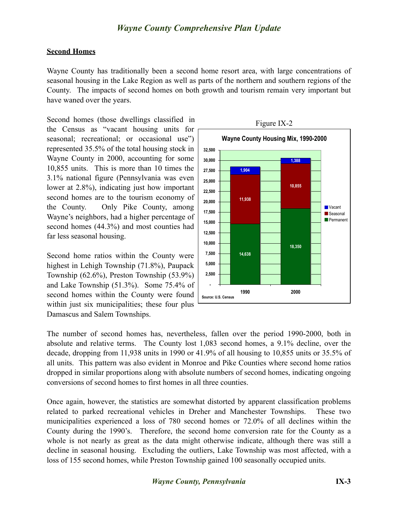#### **Second Homes**

Wayne County has traditionally been a second home resort area, with large concentrations of seasonal housing in the Lake Region as well as parts of the northern and southern regions of the County. The impacts of second homes on both growth and tourism remain very important but have waned over the years.

Second homes (those dwellings classified in the Census as "vacant housing units for seasonal; recreational; or occasional use") represented 35.5% of the total housing stock in Wayne County in 2000, accounting for some 10,855 units. This is more than 10 times the 3.1% national figure (Pennsylvania was even lower at 2.8%), indicating just how important second homes are to the tourism economy of the County. Only Pike County, among Wayne's neighbors, had a higher percentage of second homes (44.3%) and most counties had far less seasonal housing.

Second home ratios within the County were highest in Lehigh Township (71.8%), Paupack Township (62.6%), Preston Township (53.9%) and Lake Township (51.3%). Some 75.4% of second homes within the County were found within just six municipalities; these four plus Damascus and Salem Townships.



The number of second homes has, nevertheless, fallen over the period 1990-2000, both in absolute and relative terms. The County lost 1,083 second homes, a 9.1% decline, over the decade, dropping from 11,938 units in 1990 or 41.9% of all housing to 10,855 units or 35.5% of all units. This pattern was also evident in Monroe and Pike Counties where second home ratios dropped in similar proportions along with absolute numbers of second homes, indicating ongoing conversions of second homes to first homes in all three counties.

Once again, however, the statistics are somewhat distorted by apparent classification problems related to parked recreational vehicles in Dreher and Manchester Townships. These two municipalities experienced a loss of 780 second homes or 72.0% of all declines within the County during the 1990's. Therefore, the second home conversion rate for the County as a whole is not nearly as great as the data might otherwise indicate, although there was still a decline in seasonal housing. Excluding the outliers, Lake Township was most affected, with a loss of 155 second homes, while Preston Township gained 100 seasonally occupied units.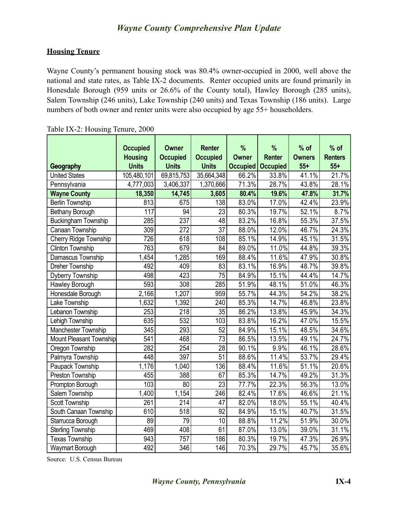#### **Housing Tenure**

Wayne County's permanent housing stock was 80.4% owner-occupied in 2000, well above the national and state rates, as Table IX-2 documents. Renter occupied units are found primarily in Honesdale Borough (959 units or 26.6% of the County total), Hawley Borough (285 units), Salem Township (246 units), Lake Township (240 units) and Texas Township (186 units). Large numbers of both owner and renter units were also occupied by age 55+ householders.

|                                | <b>Occupied</b>                | <b>Owner</b>                    | <b>Renter</b>                   | %                        | %<br><b>Renter</b> | $%$ of                 | $%$ of<br><b>Renters</b> |
|--------------------------------|--------------------------------|---------------------------------|---------------------------------|--------------------------|--------------------|------------------------|--------------------------|
| Geography                      | <b>Housing</b><br><b>Units</b> | <b>Occupied</b><br><b>Units</b> | <b>Occupied</b><br><b>Units</b> | <b>Owner</b><br>Occupied | <b>Occupied</b>    | <b>Owners</b><br>$55+$ | $55+$                    |
| <b>United States</b>           | 105,480,101                    | 69,815,753                      | 35,664,348                      | 66.2%                    | 33.8%              | 41.1%                  | 21.7%                    |
| Pennsylvania                   | 4,777,003                      | 3,406,337                       | 1,370,666                       | 71.3%                    | 28.7%              | 43.8%                  | 28.1%                    |
| <b>Wayne County</b>            | 18,350                         | 14,745                          | 3,605                           | 80.4%                    | 19.6%              | 47.8%                  | 31.7%                    |
| <b>Berlin Township</b>         | 813                            | 675                             | 138                             | 83.0%                    | 17.0%              | 42.4%                  | 23.9%                    |
| Bethany Borough                | 117                            | 94                              | 23                              | 80.3%                    | 19.7%              | 52.1%                  | 8.7%                     |
| <b>Buckingham Township</b>     | 285                            | 237                             | 48                              | 83.2%                    | 16.8%              | 55.3%                  | 37.5%                    |
| Canaan Township                | 309                            | $\overline{272}$                | $\overline{37}$                 | 88.0%                    | 12.0%              | 46.7%                  | 24.3%                    |
| Cherry Ridge Township          | 726                            | 618                             | 108                             | 85.1%                    | 14.9%              | 45.1%                  | 31.5%                    |
| <b>Clinton Township</b>        | 763                            | 679                             | 84                              | 89.0%                    | 11.0%              | 44.8%                  | 39.3%                    |
| Damascus Township              | 1,454                          | 1,285                           | 169                             | 88.4%                    | 11.6%              | 47.9%                  | 30.8%                    |
| Dreher Township                | 492                            | 409                             | 83                              | 83.1%                    | 16.9%              | 48.7%                  | 39.8%                    |
| Dyberry Township               | 498                            | 423                             | $\overline{75}$                 | 84.9%                    | 15.1%              | 44.4%                  | 14.7%                    |
| Hawley Borough                 | 593                            | $\overline{308}$                | 285                             | 51.9%                    | 48.1%              | 51.0%                  | 46.3%                    |
| Honesdale Borough              | 2,166                          | 1,207                           | 959                             | 55.7%                    | 44.3%              | 54.2%                  | 38.2%                    |
| Lake Township                  | 1,632                          | 1,392                           | 240                             | 85.3%                    | 14.7%              | 46.8%                  | 23.8%                    |
| Lebanon Township               | 253                            | $\overline{218}$                | 35                              | 86.2%                    | 13.8%              | 45.9%                  | 34.3%                    |
| Lehigh Township                | 635                            | 532                             | 103                             | 83.8%                    | 16.2%              | 47.0%                  | 15.5%                    |
| Manchester Township            | 345                            | 293                             | $\overline{52}$                 | 84.9%                    | 15.1%              | 48.5%                  | 34.6%                    |
| <b>Mount Pleasant Township</b> | 541                            | 468                             | $\overline{73}$                 | 86.5%                    | 13.5%              | 49.1%                  | 24.7%                    |
| Oregon Township                | 282                            | 254                             | $\overline{28}$                 | 90.1%                    | 9.9%               | 46.1%                  | 28.6%                    |
| Palmyra Township               | 448                            | 397                             | $\overline{51}$                 | 88.6%                    | 11.4%              | 53.7%                  | 29.4%                    |
| Paupack Township               | 1,176                          | 1,040                           | 136                             | 88.4%                    | 11.6%              | 51.1%                  | 20.6%                    |
| Preston Township               | 455                            | 388                             | 67                              | 85.3%                    | 14.7%              | 49.2%                  | 31.3%                    |
| Prompton Borough               | 103                            | 80                              | $\overline{23}$                 | 77.7%                    | 22.3%              | 56.3%                  | 13.0%                    |
| Salem Township                 | 1,400                          | 1,154                           | 246                             | 82.4%                    | 17.6%              | 46.6%                  | 21.1%                    |
| <b>Scott Township</b>          | 261                            | 214                             | 47                              | 82.0%                    | 18.0%              | 55.1%                  | 40.4%                    |
| South Canaan Township          | 610                            | $\overline{518}$                | $\overline{92}$                 | 84.9%                    | 15.1%              | 40.7%                  | 31.5%                    |
| Starrucca Borough              | 89                             | 79                              | $\overline{10}$                 | 88.8%                    | 11.2%              | 51.9%                  | 30.0%                    |
| <b>Sterling Township</b>       | 469                            | 408                             | 61                              | 87.0%                    | 13.0%              | 39.0%                  | 31.1%                    |
| <b>Texas Township</b>          | 943                            | 757                             | 186                             | 80.3%                    | 19.7%              | 47.3%                  | 26.9%                    |
| <b>Waymart Borough</b>         | 492                            | 346                             | 146                             | 70.3%                    | 29.7%              | 45.7%                  | 35.6%                    |

|  | Table IX-2: Housing Tenure, 2000 |  |
|--|----------------------------------|--|
|  |                                  |  |

Source: U.S. Census Bureau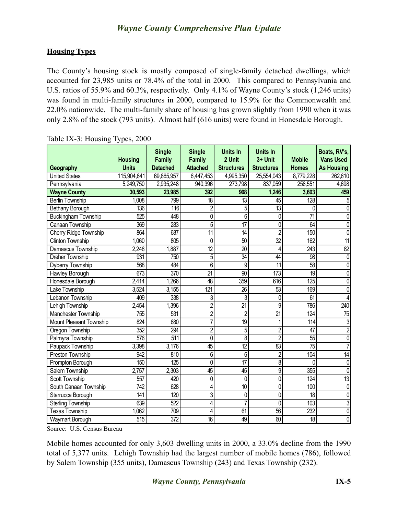#### **Housing Types**

The County's housing stock is mostly composed of single-family detached dwellings, which accounted for 23,985 units or 78.4% of the total in 2000. This compared to Pennsylvania and U.S. ratios of 55.9% and 60.3%, respectively. Only 4.1% of Wayne County's stock (1,246 units) was found in multi-family structures in 2000, compared to 15.9% for the Commonwealth and 22.0% nationwide. The multi-family share of housing has grown slightly from 1990 when it was only 2.8% of the stock (793 units). Almost half (616 units) were found in Honesdale Borough.

| Geography                  | <b>Housing</b><br><b>Units</b> | <b>Single</b><br>Family<br><b>Detached</b> | <b>Single</b><br><b>Family</b><br><b>Attached</b> | <b>Units In</b><br>2 Unit<br><b>Structures</b> | <b>Units In</b><br>3+ Unit<br><b>Structures</b> | <b>Mobile</b><br><b>Homes</b> | Boats, RV's,<br><b>Vans Used</b><br><b>As Housing</b> |
|----------------------------|--------------------------------|--------------------------------------------|---------------------------------------------------|------------------------------------------------|-------------------------------------------------|-------------------------------|-------------------------------------------------------|
| <b>United States</b>       | 115,904,641                    | 69,865,957                                 | 6,447,453                                         | 4,995,350                                      | 25,554,043                                      | 8,779,228                     | 262,610                                               |
| Pennsylvania               | 5,249,750                      | 2,935,248                                  | 940,396                                           | 273,798                                        | 837,059                                         | 258,551                       | 4,698                                                 |
| <b>Wayne County</b>        | 30,593                         | 23,985                                     | 392                                               | 908                                            | 1,246                                           | 3,603                         | 459                                                   |
| <b>Berlin Township</b>     | 1,008                          | 799                                        | 18                                                | 13                                             | 45                                              | $\overline{128}$              | 5                                                     |
| Bethany Borough            | 136                            | 116                                        | $\overline{c}$                                    | 5                                              | $\overline{13}$                                 | 0                             | $\Omega$                                              |
| <b>Buckingham Township</b> | 525                            | 448                                        | $\overline{0}$                                    | 6                                              | 0                                               | $\overline{71}$               | $\mathbf 0$                                           |
| Canaan Township            | 369                            | 283                                        | 5                                                 | $\overline{17}$                                | 0                                               | $\overline{64}$               | 0                                                     |
| Cherry Ridge Township      | 864                            | 687                                        | $\overline{11}$                                   | 14                                             | $\overline{2}$                                  | 150                           | 0                                                     |
| <b>Clinton Township</b>    | 1,060                          | 805                                        | 0                                                 | $\overline{50}$                                | $\overline{32}$                                 | 162                           | $\overline{11}$                                       |
| Damascus Township          | 2,248                          | 1,887                                      | $\overline{12}$                                   | $\overline{20}$                                | 4                                               | 243                           | $\overline{82}$                                       |
| Dreher Township            | 931                            | 750                                        | 5                                                 | 34                                             | 44                                              | 98                            | $\mathbf 0$                                           |
| Dyberry Township           | 568                            | 484                                        | $\overline{6}$                                    | 9                                              | $\overline{11}$                                 | $\overline{58}$               | 0                                                     |
| Hawley Borough             | 673                            | 370                                        | $\overline{21}$                                   | $\overline{90}$                                | $\overline{173}$                                | 19                            | $\Omega$                                              |
| Honesdale Borough          | 2,414                          | 1,266                                      | 48                                                | 359                                            | 616                                             | 125                           | $\Omega$                                              |
| Lake Township              | 3,524                          | 3,155                                      | $\overline{121}$                                  | $\overline{26}$                                | $\overline{53}$                                 | 169                           | 0                                                     |
| Lebanon Township           | 409                            | 338                                        | 3                                                 | 3                                              | 0                                               | 61                            |                                                       |
| Lehigh Township            | 2,454                          | 1,396                                      | $\overline{2}$                                    | $\overline{21}$                                | 9                                               | 786                           | 240                                                   |
| Manchester Township        | 755                            | $\overline{531}$                           | $\overline{2}$                                    | $\overline{2}$                                 | $\overline{21}$                                 | 124                           | $\overline{75}$                                       |
| Mount Pleasant Township    | 824                            | 680                                        | 7                                                 | $\overline{19}$                                |                                                 | 114                           | $\overline{3}$                                        |
| Oregon Township            | 352                            | 294                                        | $\overline{2}$                                    | 5                                              | $\overline{c}$                                  | 47                            | $\overline{2}$                                        |
| Palmyra Township           | 576                            | $\overline{511}$                           | 0                                                 | 8                                              | $\overline{2}$                                  | 55                            | 0                                                     |
| Paupack Township           | 3,398                          | 3,176                                      | 45                                                | $\overline{12}$                                | 83                                              | $\overline{75}$               |                                                       |
| Preston Township           | 942                            | 810                                        | 6                                                 | 6                                              | $\overline{2}$                                  | 104                           | 14                                                    |
| Prompton Borough           | 150                            | $\overline{125}$                           | $\mathbf{0}$                                      | $\overline{17}$                                | 8                                               | 0                             | $\mathbf 0$                                           |
| <b>Salem Township</b>      | 2,757                          | 2,303                                      | 45                                                | 45                                             | 9                                               | 355                           | $\Omega$                                              |
| Scott Township             | 557                            | 420                                        | 0                                                 | 0                                              | 0                                               | 124                           | 13                                                    |
| South Canaan Township      | $\overline{742}$               | 628                                        | 4                                                 | $\overline{10}$                                | $\mathbf{0}$                                    | 100                           | $\mathbf{0}$                                          |
| Starrucca Borough          | 141                            | 120                                        | 3                                                 | 0                                              | 0                                               | $\overline{18}$               | 0                                                     |
| <b>Sterling Township</b>   | 639                            | 522                                        | 4                                                 | 7                                              | 0                                               | 103                           | 3                                                     |
| <b>Texas Township</b>      | 1,062                          | 709                                        | 4                                                 | 61                                             | $\overline{56}$                                 | 232                           | $\overline{0}$                                        |
| Waymart Borough            | $\overline{515}$               | $\overline{372}$                           | 16                                                | 49                                             | 60                                              | $\overline{18}$               | 0                                                     |

Table IX-3: Housing Types, 2000

Source: U.S. Census Bureau

Mobile homes accounted for only 3,603 dwelling units in 2000, a 33.0% decline from the 1990 total of 5,377 units. Lehigh Township had the largest number of mobile homes (786), followed by Salem Township (355 units), Damascus Township (243) and Texas Township (232).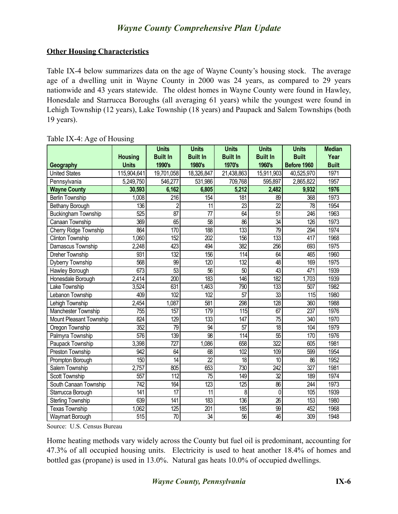#### **Other Housing Characteristics**

Table IX-4 below summarizes data on the age of Wayne County's housing stock. The average age of a dwelling unit in Wayne County in 2000 was 24 years, as compared to 29 years nationwide and 43 years statewide. The oldest homes in Wayne County were found in Hawley, Honesdale and Starrucca Boroughs (all averaging 61 years) while the youngest were found in Lehigh Township (12 years), Lake Township (18 years) and Paupack and Salem Townships (both 19 years).

|                            |                | <b>Units</b>     | <b>Units</b>     | <b>Units</b>     | <b>Units</b>     | <b>Units</b>     | <b>Median</b> |
|----------------------------|----------------|------------------|------------------|------------------|------------------|------------------|---------------|
|                            | <b>Housing</b> | <b>Built In</b>  | <b>Built In</b>  | <b>Built In</b>  | <b>Built In</b>  | <b>Built</b>     | Year          |
| Geography                  | <b>Units</b>   | 1990's           | 1980's           | 1970's           | 1960's           | Before 1960      | <b>Built</b>  |
| <b>United States</b>       | 115,904,641    | 19,701,058       | 18,326,847       | 21,438,863       | 15,911,903       | 40,525,970       | 1971          |
| Pennsylvania               | 5,249,750      | 546,277          | 531,986          | 709,768          | 595,897          | 2,865,822        | 1957          |
| <b>Wayne County</b>        | 30,593         | 6,162            | 6,805            | 5,212            | 2,482            | 9,932            | 1976          |
| <b>Berlin Township</b>     | 1,008          | $\overline{216}$ | $\overline{154}$ | 181              | 89               | 368              | 1973          |
| Bethany Borough            | 136            | $\overline{c}$   | $\overline{11}$  | 23               | $\overline{22}$  | 78               | 1954          |
| <b>Buckingham Township</b> | 525            | $\overline{87}$  |                  | $\overline{64}$  | $\overline{51}$  | 246              | 1963          |
| Canaan Township            | 369            | 65               | 58               | 86               | $\overline{34}$  | $\overline{126}$ | 1973          |
| Cherry Ridge Township      | 864            | 170              | 188              | 133              | $\overline{79}$  | 294              | 1974          |
| <b>Clinton Township</b>    | 1,060          | 152              | $\overline{202}$ | 156              | $\overline{133}$ | 417              | 1968          |
| Damascus Township          | 2,248          | 423              | 494              | 382              | 256              | 693              | 1975          |
| Dreher Township            | 931            | $\overline{132}$ | 156              | 114              | 64               | 465              | 1960          |
| Dyberry Township           | 568            | 99               | $\overline{120}$ | 132              | 48               | 169              | 1975          |
| Hawley Borough             | 673            | $\overline{53}$  | 56               | 50               | $\overline{43}$  | 471              | 1939          |
| Honesdale Borough          | 2,414          | $\overline{200}$ | $\overline{183}$ | 146              | 182              | 1,703            | 1939          |
| Lake Township              | 3,524          | 631              | 1,463            | 790              | $\overline{133}$ | 507              | 1982          |
| Lebanon Township           | 409            | 102              | 102              | 57               | $\overline{33}$  | 115              | 1980          |
| Lehigh Township            | 2,454          | 1,087            | 581              | 298              | $\overline{128}$ | 360              | 1988          |
| Manchester Township        | 755            | 157              | $\overline{179}$ | 115              | 67               | $\overline{237}$ | 1976          |
| Mount Pleasant Township    | 824            | $\overline{129}$ | 133              | 147              | $\overline{75}$  | 340              | 1970          |
| Oregon Township            | 352            | $\overline{79}$  | 94               | $\overline{57}$  | $\overline{18}$  | 104              | 1979          |
| Palmyra Township           | 576            | 139              | $\overline{98}$  | 114              | $\overline{55}$  | 170              | 1976          |
| Paupack Township           | 3,398          | 727              | 1,086            | 658              | $\overline{322}$ | 605              | 1981          |
| Preston Township           | 942            | 64               | 68               | 102              | 109              | 599              | 1954          |
| Prompton Borough           | 150            | $\overline{14}$  | $\overline{22}$  | $\overline{18}$  | $\overline{10}$  | $\overline{86}$  | 1952          |
| Salem Township             | 2,757          | 805              | 653              | 730              | 242              | 327              | 1981          |
| Scott Township             | 557            | $\overline{112}$ | $\overline{75}$  | 149              | $\overline{32}$  | 189              | 1974          |
| South Canaan Township      | 742            | 164              | 123              | $\overline{125}$ | 86               | $\overline{244}$ | 1973          |
| Starrucca Borough          | 141            | $\overline{17}$  | 11               | 8                | $\mathbf 0$      | 105              | 1939          |
| <b>Sterling Township</b>   | 639            | 141              | 183              | 136              | $\overline{26}$  | $\overline{153}$ | 1980          |
| <b>Texas Township</b>      | 1,062          | 125              | 201              | 185              | $\overline{99}$  | 452              | 1968          |
| Waymart Borough            | 515            | $\overline{70}$  | $\overline{34}$  | $\overline{56}$  | 46               | 309              | 1948          |

Table IX-4: Age of Housing

Source: U.S. Census Bureau

Home heating methods vary widely across the County but fuel oil is predominant, accounting for 47.3% of all occupied housing units. Electricity is used to heat another 18.4% of homes and bottled gas (propane) is used in 13.0%. Natural gas heats 10.0% of occupied dwellings.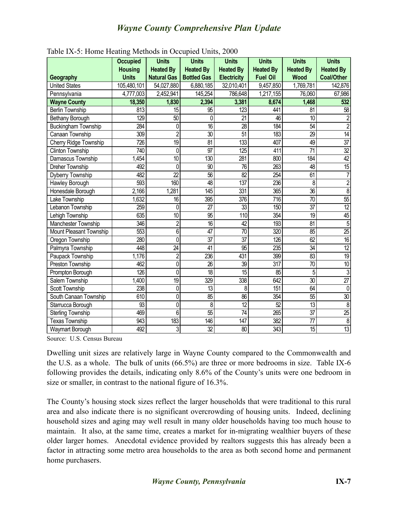|                            | <b>Occupied</b> | <b>Units</b>       | <b>Units</b>                      | <b>Units</b>       | <b>Units</b>     | <b>Units</b>     | <b>Units</b>      |
|----------------------------|-----------------|--------------------|-----------------------------------|--------------------|------------------|------------------|-------------------|
|                            | <b>Housing</b>  | <b>Heated By</b>   | <b>Heated By</b>                  | <b>Heated By</b>   | <b>Heated By</b> | <b>Heated By</b> | <b>Heated By</b>  |
| Geography                  | <b>Units</b>    | <b>Natural Gas</b> | <b>Bottled Gas</b>                | <b>Electricity</b> | <b>Fuel Oil</b>  | Wood             | <b>Coal/Other</b> |
| <b>United States</b>       | 105,480,101     | 54,027,880         | 6,880,185                         | 32,010,401         | 9,457,850        | 1,769,781        | 142,876           |
| Pennsylvania               | 4,777,003       | 2,452,941          | 145,254                           | 786,648            | 1,217,155        | 76,060           | 67,986            |
| <b>Wayne County</b>        | 18,350          | 1,830              | 2,394                             | 3,381              | 8,674            | 1,468            | 532               |
| <b>Berlin Township</b>     | 813             | 15                 | 95                                | $\overline{123}$   | 441              | 81               | $\overline{58}$   |
| <b>Bethany Borough</b>     | 129             | 50                 | $\mathbf{0}$                      | $\overline{21}$    | 46               | 10               | $\overline{2}$    |
| <b>Buckingham Township</b> | 284             | 0                  | $\overline{16}$                   | $\overline{28}$    | 184              | $\overline{54}$  | $\overline{2}$    |
| Canaan Township            | 309             | $\overline{2}$     | $\overline{30}$                   | 51                 | 183              | 29               | $\overline{14}$   |
| Cherry Ridge Township      | 726             | $\overline{19}$    | $\overline{81}$                   | 133                | 407              | 49               | $\overline{37}$   |
| <b>Clinton Township</b>    | 740             | 0                  | $\overline{97}$                   | $\overline{125}$   | 411              | $\overline{71}$  | $\overline{32}$   |
| Damascus Township          | 1,454           | $\overline{10}$    | 130                               | 281                | 800              | 184              | 42                |
| <b>Dreher Township</b>     | 492             | $\mathbf 0$        | $\overline{90}$                   | 76                 | 263              | 48               | $\overline{15}$   |
| Dyberry Township           | 482             | $\overline{22}$    | $\overline{56}$                   | $\overline{82}$    | $\overline{254}$ | 61               | 7                 |
| Hawley Borough             | 593             | 160                | 48                                | 137                | 236              | 8                | $\overline{2}$    |
| Honesdale Borough          | 2,166           | 1,281              | $\overline{145}$                  | 331                | 365              | $\overline{36}$  | $\overline{8}$    |
| <b>Lake Township</b>       | 1,632           | $\overline{16}$    | 395                               | 376                | $\overline{716}$ | $\overline{70}$  | $\overline{55}$   |
| Lebanon Township           | 259             | $\mathbf 0$        | 27                                | 33                 | 150              | $\overline{37}$  | $\overline{12}$   |
| Lehigh Township            | 635             | $\overline{10}$    | $\overline{95}$                   | 110                | 354              | $\overline{19}$  | 45                |
| Manchester Township        | 346             | $\overline{2}$     | $\overline{16}$                   | $\overline{42}$    | 193              | $\overline{81}$  | $\overline{5}$    |
| Mount Pleasant Township    | 553             | $\overline{6}$     | $\overline{47}$                   | 70                 | 320              | 85               | $\overline{25}$   |
| Oregon Township            | 280             | $\overline{0}$     | $\overline{37}$                   | $\overline{37}$    | 126              | $\overline{62}$  | $\overline{16}$   |
| Palmyra Township           | 448             | $\overline{24}$    | 41                                | $\overline{95}$    | 235              | $\overline{34}$  | $\overline{12}$   |
| Paupack Township           | 1,176           | $\overline{2}$     | 236                               | 431                | 399              | 83               | 19                |
| <b>Preston Township</b>    | 462             | 0                  | $\overline{26}$                   | 39                 | $\overline{317}$ | $\overline{70}$  | $\overline{10}$   |
| Prompton Borough           | 126             | $\overline{0}$     | $\overline{18}$                   | $\overline{15}$    | 85               | 5                | $\overline{3}$    |
| Salem Township             | 1,400           | $\overline{19}$    | 329                               | 338                | 642              | $\overline{30}$  | $\overline{27}$   |
| Scott Township             | 238             | 0                  | $\overline{13}$                   | 8                  | 151              | $\overline{64}$  | $\mathbf 0$       |
| South Canaan Township      | 610             | $\overline{0}$     | $\overline{\overline{\text{85}}}$ | 86                 | 354              | $\overline{55}$  | $\overline{30}$   |
| Starrucca Borough          | 93              | $\overline{0}$     | 8                                 | $\overline{12}$    | 52               | 13               | 8                 |
| Sterling Township          | 469             | $\overline{6}$     | $\overline{55}$                   | $\overline{74}$    | 265              | $\overline{37}$  | $\overline{25}$   |
| <b>Texas Township</b>      | 943             | 183                | 146                               | 147                | 382              | $\overline{\pi}$ | $\overline{8}$    |
| Waymart Borough            | 492             | $\overline{3}$     | $\overline{32}$                   | 80                 | 343              | $\overline{15}$  | $\overline{13}$   |

| Table IX-5: Home Heating Methods in Occupied Units, 2000 |  |  |
|----------------------------------------------------------|--|--|
|                                                          |  |  |

Source: U.S. Census Bureau

Dwelling unit sizes are relatively large in Wayne County compared to the Commonwealth and the U.S. as a whole. The bulk of units (66.5%) are three or more bedrooms in size. Table IX-6 following provides the details, indicating only 8.6% of the County's units were one bedroom in size or smaller, in contrast to the national figure of 16.3%.

The County's housing stock sizes reflect the larger households that were traditional to this rural area and also indicate there is no significant overcrowding of housing units. Indeed, declining household sizes and aging may well result in many older households having too much house to maintain. It also, at the same time, creates a market for in-migrating wealthier buyers of these older larger homes. Anecdotal evidence provided by realtors suggests this has already been a factor in attracting some metro area households to the area as both second home and permanent home purchasers.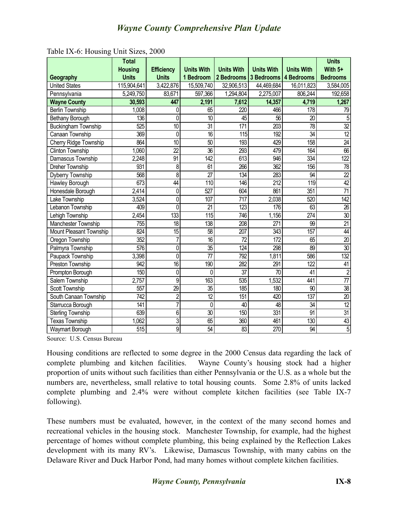|                            | <b>Total</b><br><b>Housing</b> | <b>Efficiency</b> | <b>Units With</b> | <b>Units With</b> | <b>Units With</b>                | <b>Units With</b> | <b>Units</b><br>With $5+$ |
|----------------------------|--------------------------------|-------------------|-------------------|-------------------|----------------------------------|-------------------|---------------------------|
| Geography                  | <b>Units</b>                   | <b>Units</b>      | 1 Bedroom         |                   | 2 Bedrooms 3 Bedrooms 4 Bedrooms |                   | <b>Bedrooms</b>           |
| <b>United States</b>       | 115,904,641                    | 3,422,876         | 15,509,740        | 32,906,513        | 44,469,684                       | 16,011,823        | 3,584,005                 |
| Pennsylvania               | 5,249,750                      | 83,671            | 597,366           | 1,294,804         | 2,275,007                        | 806,244           | 192,658                   |
| <b>Wayne County</b>        | 30,593                         | 447               | 2,191             | 7,612             | 14,357                           | 4,719             | 1,267                     |
| <b>Berlin Township</b>     | 1,008                          | 0                 | 65                | $\overline{220}$  | 466                              | 178               | 79                        |
| <b>Bethany Borough</b>     | 136                            | $\overline{0}$    | 10                | 45                | 56                               | $\overline{20}$   | 5                         |
| <b>Buckingham Township</b> | 525                            | $\overline{10}$   | $\overline{31}$   | 171               | 203                              | $\overline{78}$   | $\overline{32}$           |
| <b>Canaan Township</b>     | 369                            | $\overline{0}$    | 16                | 115               | 192                              | $\overline{34}$   | $\overline{12}$           |
| Cherry Ridge Township      | 864                            | 10                | 50                | 193               | 429                              | 158               | $\overline{24}$           |
| Clinton Township           | 1,060                          | $\overline{22}$   | $\overline{36}$   | 293               | 479                              | $\overline{164}$  | $\overline{66}$           |
| Damascus Township          | 2,248                          | $\overline{91}$   | $\overline{142}$  | 613               | 946                              | 334               | 122                       |
| <b>Dreher Township</b>     | 931                            | 8                 | 61                | 266               | 362                              | 156               | $\overline{78}$           |
| Dyberry Township           | 568                            | $\overline{8}$    | $\overline{27}$   | 134               | 283                              | $\overline{94}$   | $\overline{22}$           |
| Hawley Borough             | 673                            | $\overline{44}$   | 110               | 146               | 212                              | 119               | 42                        |
| Honesdale Borough          | 2,414                          | 0                 | 527               | 604               | 861                              | $\overline{351}$  | $\overline{71}$           |
| Lake Township              | 3,524                          | $\overline{0}$    | 107               | $\overline{717}$  | 2,038                            | 520               | 142                       |
| Lebanon Township           | 409                            | $\overline{0}$    | $\overline{21}$   | 123               | 176                              | $\overline{63}$   | $\overline{26}$           |
| Lehigh Township            | 2,454                          | $\overline{133}$  | 115               | 746               | 1,156                            | 274               | $\overline{30}$           |
| Manchester Township        | $\overline{755}$               | $\overline{18}$   | 138               | 208               | $\overline{271}$                 | 99                | $\overline{21}$           |
| Mount Pleasant Township    | 824                            | $\overline{15}$   | 58                | 207               | 343                              | 157               | $\overline{44}$           |
| Oregon Township            | 352                            | $\overline{7}$    | $\overline{16}$   | $\overline{72}$   | 172                              | 65                | $\overline{20}$           |
| Palmyra Township           | 576                            | $\overline{0}$    | $\overline{35}$   | $\overline{124}$  | 298                              | 89                | $\overline{30}$           |
| Paupack Township           | 3,398                          | 0                 | $\overline{7}$    | 792               | 1,811                            | 586               | 132                       |
| <b>Preston Township</b>    | 942                            | $\overline{16}$   | 190               | 282               | 291                              | $\overline{122}$  | $\overline{41}$           |
| Prompton Borough           | 150                            | 0                 | 0                 | $\overline{37}$   | $\overline{70}$                  | 41                | $\overline{2}$            |
| Salem Township             | 2,757                          | $\overline{9}$    | $\overline{163}$  | 535               | 1,532                            | 441               |                           |
| Scott Township             | 557                            | $\overline{29}$   | $\overline{35}$   | 185               | 180                              | $\overline{90}$   | $\overline{38}$           |
| South Canaan Township      | 742                            | $\overline{2}$    | $\overline{12}$   | 151               | 420                              | 137               | $\overline{20}$           |
| Starrucca Borough          | 141                            | $\overline{7}$    | $\mathbf{0}$      | 40                | 48                               | 34                | $\overline{12}$           |
| <b>Sterling Township</b>   | 639                            | $\overline{6}$    | $\overline{30}$   | 150               | 331                              | $\overline{91}$   | $\overline{31}$           |
| <b>Texas Township</b>      | 1,062                          | $\overline{3}$    | 65                | 360               | 461                              | 130               | $\overline{43}$           |
| Waymart Borough            | $\overline{515}$               | $\overline{9}$    | $\overline{54}$   | $\overline{83}$   | 270                              | $\overline{94}$   | $\overline{5}$            |

Table IX-6: Housing Unit Sizes, 2000

Source: U.S. Census Bureau

Housing conditions are reflected to some degree in the 2000 Census data regarding the lack of complete plumbing and kitchen facilities. Wayne County's housing stock had a higher proportion of units without such facilities than either Pennsylvania or the U.S. as a whole but the numbers are, nevertheless, small relative to total housing counts. Some 2.8% of units lacked complete plumbing and 2.4% were without complete kitchen facilities (see Table IX-7 following).

These numbers must be evaluated, however, in the context of the many second homes and recreational vehicles in the housing stock. Manchester Township, for example, had the highest percentage of homes without complete plumbing, this being explained by the Reflection Lakes development with its many RV's. Likewise, Damascus Township, with many cabins on the Delaware River and Duck Harbor Pond, had many homes without complete kitchen facilities.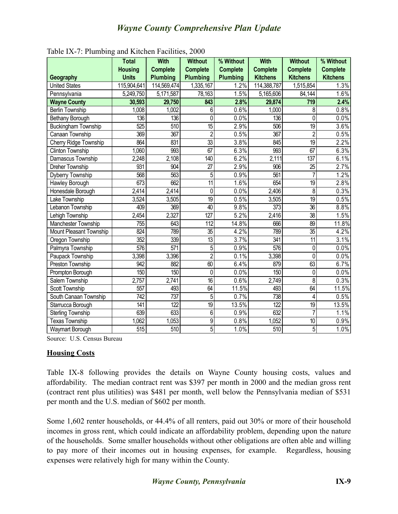|                            | <b>Total</b>     | <b>With</b>      | <b>Without</b>   | % Without       | <b>With</b>      | <b>Without</b>   | % Without       |
|----------------------------|------------------|------------------|------------------|-----------------|------------------|------------------|-----------------|
|                            | <b>Housing</b>   | <b>Complete</b>  | <b>Complete</b>  | <b>Complete</b> | <b>Complete</b>  | <b>Complete</b>  | <b>Complete</b> |
| Geography                  | <b>Units</b>     | <b>Plumbing</b>  | <b>Plumbing</b>  | <b>Plumbing</b> | <b>Kitchens</b>  | <b>Kitchens</b>  | <b>Kitchens</b> |
| <b>United States</b>       | 115,904,641      | 114,569,474      | 1,335,167        | 1.2%            | 114,388,787      | 1,515,854        | 1.3%            |
| Pennsylvania               | 5,249,750        | 5,171,587        | 78,163           | 1.5%            | 5,165,606        | 84,144           | 1.6%            |
| <b>Wayne County</b>        | 30,593           | 29,750           | 843              | 2.8%            | 29,874           | $\overline{719}$ | 2.4%            |
| <b>Berlin Township</b>     | 1,008            | 1,002            | 6                | 0.6%            | 1,000            | 8                | 0.8%            |
| Bethany Borough            | 136              | 136              | 0                | 0.0%            | 136              | 0                | 0.0%            |
| <b>Buckingham Township</b> | 525              | $\overline{510}$ | $\overline{15}$  | 2.9%            | 506              | $\overline{19}$  | 3.6%            |
| Canaan Township            | 369              | 367              | $\overline{2}$   | 0.5%            | $\overline{367}$ | $\overline{2}$   | 0.5%            |
| Cherry Ridge Township      | 864              | 831              | $\overline{33}$  | 3.8%            | 845              | $\overline{19}$  | 2.2%            |
| <b>Clinton Township</b>    | 1,060            | 993              | 67               | 6.3%            | 993              | 67               | 6.3%            |
| Damascus Township          | 2,248            | 2,108            | 140              | 6.2%            | 2,111            | 137              | 6.1%            |
| <b>Dreher Township</b>     | 931              | 904              | $\overline{27}$  | 2.9%            | 906              | $\overline{25}$  | 2.7%            |
| Dyberry Township           | 568              | 563              | 5                | 0.9%            | $\overline{561}$ | $\overline{7}$   | 1.2%            |
| Hawley Borough             | 673              | 662              | $\overline{11}$  | 1.6%            | 654              | $\overline{19}$  | 2.8%            |
| Honesdale Borough          | 2,414            | 2,414            | $\mathbf{0}$     | 0.0%            | 2,406            | 8                | 0.3%            |
| <b>Lake Township</b>       | 3,524            | 3,505            | $\overline{19}$  | 0.5%            | 3,505            | $\overline{19}$  | 0.5%            |
| Lebanon Township           | 409              | 369              | 40               | 9.8%            | 373              | $\overline{36}$  | 8.8%            |
| Lehigh Township            | 2,454            | 2,327            | $\overline{127}$ | 5.2%            | 2,416            | $\overline{38}$  | 1.5%            |
| Manchester Township        | $\overline{755}$ | 643              | $\overline{112}$ | 14.8%           | 666              | 89               | 11.8%           |
| Mount Pleasant Township    | 824              | 789              | $\overline{35}$  | 4.2%            | 789              | $\overline{35}$  | 4.2%            |
| Oregon Township            | 352              | 339              | $\overline{13}$  | 3.7%            | 341              | $\overline{11}$  | 3.1%            |
| Palmyra Township           | 576              | 571              | 5                | 0.9%            | 576              | 0                | 0.0%            |
| Paupack Township           | 3,398            | 3,396            | $\overline{2}$   | 0.1%            | 3,398            | $\overline{0}$   | 0.0%            |
| <b>Preston Township</b>    | 942              | 882              | $\overline{60}$  | 6.4%            | 879              | $\overline{63}$  | 6.7%            |
| Prompton Borough           | 150              | 150              | 0                | 0.0%            | 150              | 0                | 0.0%            |
| Salem Township             | 2,757            | 2,741            | $\overline{16}$  | 0.6%            | 2,749            | 8                | 0.3%            |
| <b>Scott Township</b>      | 557              | 493              | $\overline{64}$  | 11.5%           | 493              | $\overline{64}$  | 11.5%           |
| South Canaan Township      | $\overline{742}$ | 737              | 5                | 0.7%            | 738              | 4                | 0.5%            |
| Starrucca Borough          | 141              | 122              | 19               | 13.5%           | 122              | 19               | 13.5%           |
| <b>Sterling Township</b>   | 639              | 633              | $\overline{6}$   | 0.9%            | 632              | $\overline{7}$   | 1.1%            |
| <b>Texas Township</b>      | 1,062            | 1,053            | $\overline{9}$   | 0.8%            | 1,052            | 10               | 0.9%            |
| Waymart Borough            | 515              | $\overline{510}$ | $\overline{5}$   | 1.0%            | 510              | 5                | 1.0%            |

Table IX-7: Plumbing and Kitchen Facilities, 2000

Source: U.S. Census Bureau

#### **Housing Costs**

Table IX-8 following provides the details on Wayne County housing costs, values and affordability. The median contract rent was \$397 per month in 2000 and the median gross rent (contract rent plus utilities) was \$481 per month, well below the Pennsylvania median of \$531 per month and the U.S. median of \$602 per month.

Some 1,602 renter households, or 44.4% of all renters, paid out 30% or more of their household incomes in gross rent, which could indicate an affordability problem, depending upon the nature of the households. Some smaller households without other obligations are often able and willing to pay more of their incomes out in housing expenses, for example. Regardless, housing expenses were relatively high for many within the County.